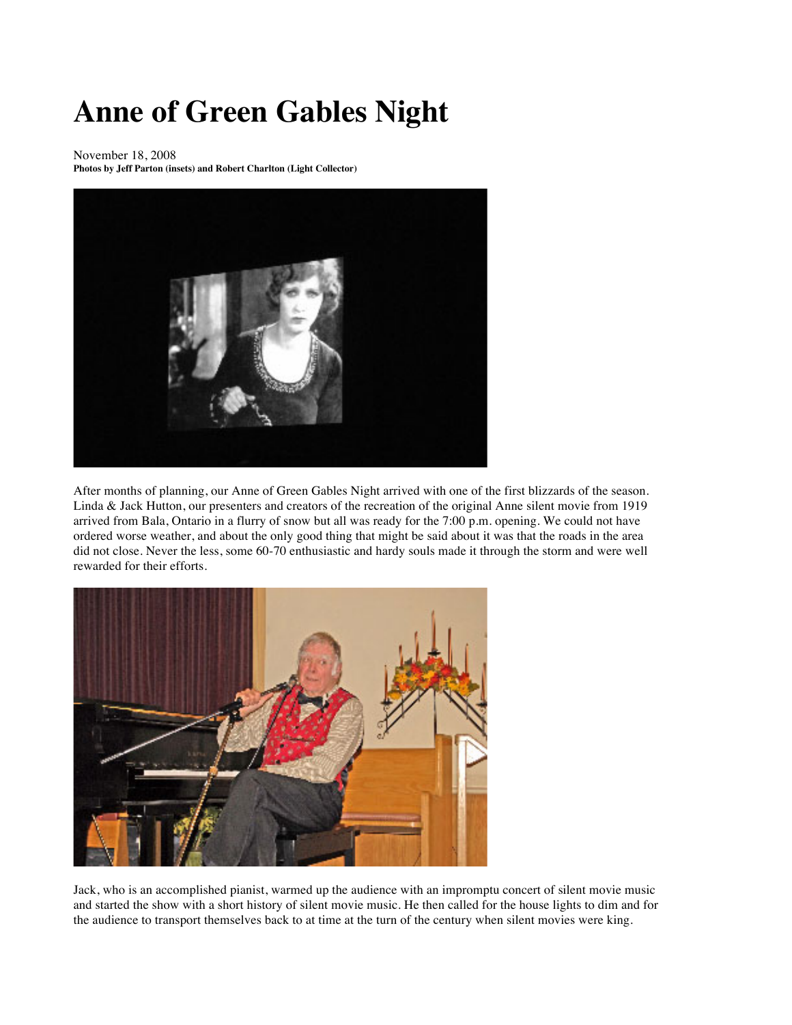## **Anne of Green Gables Night**

November 18, 2008 **Photos by Jeff Parton (insets) and Robert Charlton (Light Collector)**



After months of planning, our Anne of Green Gables Night arrived with one of the first blizzards of the season. Linda & Jack Hutton, our presenters and creators of the recreation of the original Anne silent movie from 1919 arrived from Bala, Ontario in a flurry of snow but all was ready for the 7:00 p.m. opening. We could not have ordered worse weather, and about the only good thing that might be said about it was that the roads in the area did not close. Never the less, some 60-70 enthusiastic and hardy souls made it through the storm and were well rewarded for their efforts.



Jack, who is an accomplished pianist, warmed up the audience with an impromptu concert of silent movie music and started the show with a short history of silent movie music. He then called for the house lights to dim and for the audience to transport themselves back to at time at the turn of the century when silent movies were king.